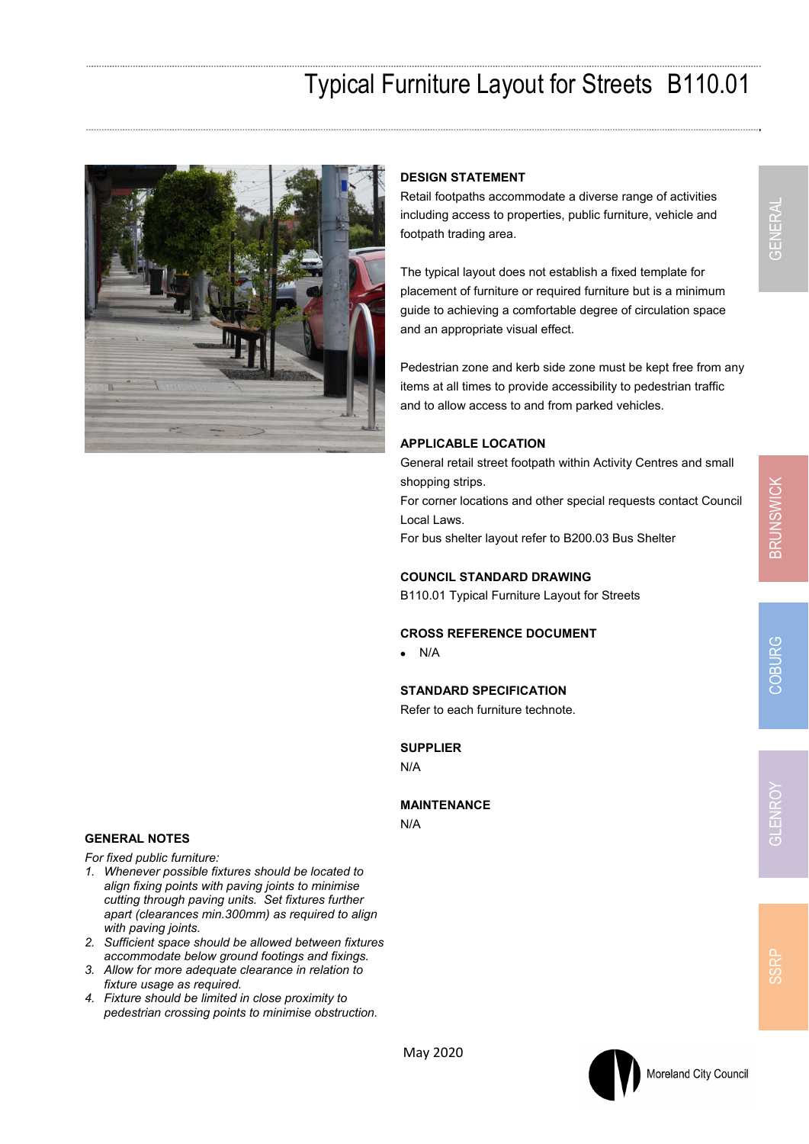## Typical Furniture Layout for Streets B110.01



### **DESIGN STATEMENT**

Retail footpaths accommodate a diverse range of activities including access to properties, public furniture, vehicle and footpath trading area.

The typical layout does not establish a fixed template for placement of furniture or required furniture but is a minimum guide to achieving a comfortable degree of circulation space and an appropriate visual effect.

Pedestrian zone and kerb side zone must be kept free from any items at all times to provide accessibility to pedestrian traffic and to allow access to and from parked vehicles.

#### **APPLICABLE LOCATION**

General retail street footpath within Activity Centres and small shopping strips.

For corner locations and other special requests contact Council Local Laws.

For bus shelter layout refer to B200.03 Bus Shelter

#### **COUNCIL STANDARD DRAWING**

B110.01 Typical Furniture Layout for Streets

#### **CROSS REFERENCE DOCUMENT**

 $\bullet$  N/A

## **STANDARD SPECIFICATION**

Refer to each furniture technote.

**SUPPLIER** 

N/A

#### **MAINTENANCE**

N/A

GENERAL

## **GENERAL NOTES**

*For fixed public furniture:* 

- *1. Whenever possible fixtures should be located to align fixing points with paving joints to minimise cutting through paving units. Set fixtures further apart (clearances min.300mm) as required to align with paving joints.*
- *2. Sufficient space should be allowed between fixtures accommodate below ground footings and fixings.*
- *3. Allow for more adequate clearance in relation to fixture usage as required.*
- *4. Fixture should be limited in close proximity to pedestrian crossing points to minimise obstruction.*